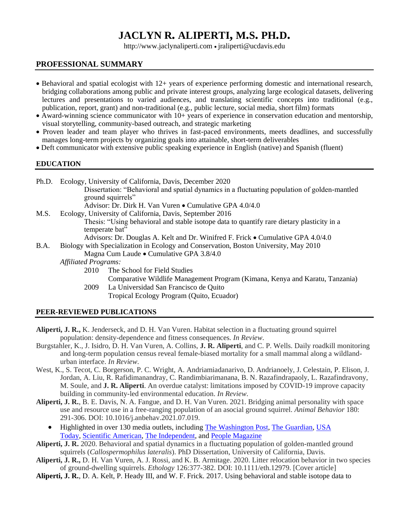# **JACLYN R. ALIPERTI, M.S. PH.D.**

http://www.jaclynaliperti.com • jraliperti@ucdavis.edu

#### **PROFESSIONAL SUMMARY**

- Behavioral and spatial ecologist with 12+ years of experience performing domestic and international research, bridging collaborations among public and private interest groups, analyzing large ecological datasets, delivering lectures and presentations to varied audiences, and translating scientific concepts into traditional (e.g., publication, report, grant) and non-traditional (e.g., public lecture, social media, short film) formats
- Award-winning science communicator with 10+ years of experience in conservation education and mentorship, visual storytelling, community-based outreach, and strategic marketing
- Proven leader and team player who thrives in fast-paced environments, meets deadlines, and successfully manages long-term projects by organizing goals into attainable, short-term deliverables
- Deft communicator with extensive public speaking experience in English (native) and Spanish (fluent)

#### **EDUCATION**

Ph.D. Ecology, University of California, Davis, December 2020

Dissertation: "Behavioral and spatial dynamics in a fluctuating population of golden-mantled ground squirrels"

Advisor: Dr. Dirk H. Van Vuren • Cumulative GPA 4.0/4.0

M.S. Ecology, University of California, Davis, September 2016 Thesis: "Using behavioral and stable isotope data to quantify rare dietary plasticity in a temperate bat" Advisors: Dr. Douglas A. Kelt and Dr. Winifred F. Frick • Cumulative GPA 4.0/4.0

B.A. Biology with Specialization in Ecology and Conservation, Boston University, May 2010

Magna Cum Laude • Cumulative GPA 3.8/4.0

- *Affiliated Programs:* 
	- 2010 The School for Field Studies Comparative Wildlife Management Program (Kimana, Kenya and Karatu, Tanzania)
		- 2009 La Universidad San Francisco de Quito Tropical Ecology Program (Quito, Ecuador)

# **PEER-REVIEWED PUBLICATIONS**

- **Aliperti, J. R.,** K. Jenderseck, and D. H. Van Vuren. Habitat selection in a fluctuating ground squirrel population: density-dependence and fitness consequences. *In Review*.
- Burgstahler, K., J. Isidro, D. H. Van Vuren, A. Collins, **J. R. Aliperti**, and C. P. Wells. Daily roadkill monitoring and long-term population census reveal female-biased mortality for a small mammal along a wildlandurban interface. *In Review*.
- West, K., S. Tecot, C. Borgerson, P. C. Wright, A. Andriamiadanarivo, D. Andrianoely, J. Celestain, P. Elison, J. Jordan, A. Liu, R. Rafidimanandray, C. Randimbiarimanana, B. N. Razafindrapaoly, L. Razafindravony, M. Soule, and **J. R. Aliperti**. An overdue catalyst: limitations imposed by COVID-19 improve capacity building in community-led environmental education. *In Review*.
- **Aliperti, J. R.**, B. E. Davis, N. A. Fangue, and D. H. Van Vuren. 2021. Bridging animal personality with space use and resource use in a free-ranging population of an asocial ground squirrel. *Animal Behavior* 180: 291-306. DOI: 10.1016/j.anbehav.2021.07.019.
	- Highlighted in over 130 media outlets, including [The Washington Post,](https://www.washingtonpost.com/dc-md-va/2022/04/10/squirrel-personality-test/) [The Guardian,](https://www.theguardian.com/environment/2021/sep/13/squirrels-human-like-personality-traits-study) USA [Today,](https://www.usatoday.com/story/news/nation/2021/09/13/squirrels-have-human-personality-traits/8319296002/) [Scientific American,](https://www.scientificamerican.com/podcast/episode/during-a-rodent-quadrathlon-researchers-learn-that-ground-squirrels-have-personalities/) [The Independent,](https://www.independent.co.uk/news/science/ground-squirrels-personality-traits-ecosystem-b1918959.html) and [People Magazine](https://people.com/pets/squirrels-share-personality-traits-with-humans-study/)
- **Aliperti, J. R.** 2020. Behavioral and spatial dynamics in a fluctuating population of golden-mantled ground squirrels (*Callospermophilus lateralis*). PhD Dissertation, University of California, Davis.
- **Aliperti, J. R.,** D. H. Van Vuren, A. J. Rossi, and K. B. Armitage. 2020. Litter relocation behavior in two species of ground-dwelling squirrels. *Ethology* 126:377-382. DOI: 10.1111/eth.12979. [Cover article]
- **Aliperti, J. R.**, D. A. Kelt, P. Heady III, and W. F. Frick. 2017. Using behavioral and stable isotope data to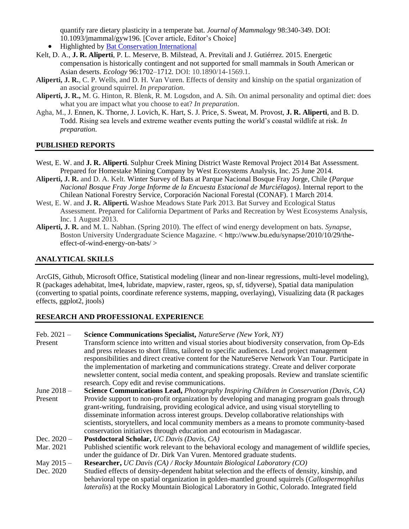quantify rare dietary plasticity in a temperate bat. *Journal of Mammalogy* 98:340-349. DOI: 10.1093/jmammal/gyw196. [Cover article, Editor's Choice]

- Highlighted by [Bat Conservation International](https://www.batcon.org/messy-eater-a-boon-for-cactus-fruit/)
- Kelt, D. A., **J. R. Aliperti**, P. L. Meserve, B. Milstead, A. Previtali and J. Gutiérrez. 2015. Energetic compensation is historically contingent and not supported for small mammals in South American or Asian deserts. *Ecology* 96:1702–1712. DOI: 10.1890/14-1569.1.
- **Aliperti, J. R.**, C. P. Wells, and D. H. Van Vuren. Effects of density and kinship on the spatial organization of an asocial ground squirrel. *In preparation*.
- **Aliperti, J. R.,** M. G. Hinton, R. Blenk, R. M. Logsdon, and A. Sih. On animal personality and optimal diet: does what you are impact what you choose to eat? *In preparation*.
- Agha, M., J. Ennen, K. Thorne, J. Lovich, K. Hart, S. J. Price, S. Sweat, M. Provost, **J. R. Aliperti**, and B. D. Todd. Rising sea levels and extreme weather events putting the world's coastal wildlife at risk. *In preparation*.

#### **PUBLISHED REPORTS**

- West, E. W. and **J. R. Aliperti**. Sulphur Creek Mining District Waste Removal Project 2014 Bat Assessment. Prepared for Homestake Mining Company by West Ecosystems Analysis, Inc. 25 June 2014.
- **Aliperti, J. R.** and D. A. Kelt. Winter Survey of Bats at Parque Nacional Bosque Fray Jorge, Chile (*Parque Nacional Bosque Fray Jorge Informe de la Encuesta Estacional de Murciélagos)*. Internal report to the Chilean National Forestry Service, Corporación Nacional Forestal (CONAF). 1 March 2014.
- West, E. W. and **J. R. Aliperti.** Washoe Meadows State Park 2013. Bat Survey and Ecological Status Assessment. Prepared for California Department of Parks and Recreation by West Ecosystems Analysis, Inc. 1 August 2013.
- **Aliperti, J. R.** and M. L. Nabhan. (Spring 2010). The effect of wind energy development on bats. *Synapse*, Boston University Undergraduate Science Magazine. < http://www.bu.edu/synapse/2010/10/29/theeffect-of-wind-energy-on-bats/ >

#### **ANALYTICAL SKILLS**

ArcGIS, Github, Microsoft Office, Statistical modeling (linear and non-linear regressions, multi-level modeling), R (packages adehabitat, lme4, lubridate, mapview, raster, rgeos, sp, sf, tidyverse), Spatial data manipulation (converting to spatial points, coordinate reference systems, mapping, overlaying), Visualizing data (R packages effects, ggplot2, jtools)

#### **RESEARCH AND PROFESSIONAL EXPERIENCE**

| Feb. $2021 -$ | Science Communications Specialist, NatureServe (New York, NY)                                        |
|---------------|------------------------------------------------------------------------------------------------------|
| Present       | Transform science into written and visual stories about biodiversity conservation, from Op-Eds       |
|               | and press releases to short films, tailored to specific audiences. Lead project management           |
|               | responsibilities and direct creative content for the NatureServe Network Van Tour. Participate in    |
|               | the implementation of marketing and communications strategy. Create and deliver corporate            |
|               | newsletter content, social media content, and speaking proposals. Review and translate scientific    |
|               | research. Copy edit and revise communications.                                                       |
| June $2018 -$ | Science Communications Lead, Photography Inspiring Children in Conservation (Davis, CA)              |
| Present       | Provide support to non-profit organization by developing and managing program goals through          |
|               | grant-writing, fundraising, providing ecological advice, and using visual storytelling to            |
|               | disseminate information across interest groups. Develop collaborative relationships with             |
|               | scientists, storytellers, and local community members as a means to promote community-based          |
|               | conservation initiatives through education and ecotourism in Madagascar.                             |
| Dec. $2020 -$ | Postdoctoral Scholar, UC Davis (Davis, CA)                                                           |
| Mar. 2021     | Published scientific work relevant to the behavioral ecology and management of wildlife species,     |
|               | under the guidance of Dr. Dirk Van Vuren. Mentored graduate students.                                |
| May $2015 -$  | <b>Researcher, UC Davis (CA) / Rocky Mountain Biological Laboratory (CO)</b>                         |
| Dec. 2020     | Studied effects of density-dependent habitat selection and the effects of density, kinship, and      |
|               | behavioral type on spatial organization in golden-mantled ground squirrels (Callospermophilus        |
|               | <i>lateralis</i> ) at the Rocky Mountain Biological Laboratory in Gothic, Colorado. Integrated field |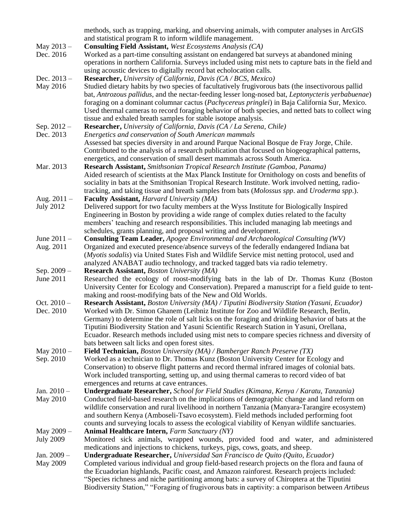|                  | Biodiversity Station," "Foraging of frugivorous bats in captivity: a comparison between Artibeus     |
|------------------|------------------------------------------------------------------------------------------------------|
|                  | "Species richness and niche partitioning among bats: a survey of Chiroptera at the Tiputini          |
|                  | the Ecuadorian highlands, Pacific coast, and Amazon rainforest. Research projects included:          |
| May 2009         | Completed various individual and group field-based research projects on the flora and fauna of       |
| Jan. 2009 -      | Undergraduate Researcher, Universidad San Francisco de Quito (Quito, Ecuador)                        |
|                  | medications and injections to chickens, turkeys, pigs, cows, goats, and sheep.                       |
| <b>July 2009</b> | Monitored sick animals, wrapped wounds, provided food and water, and administered                    |
| May 2009 -       | <b>Animal Healthcare Intern, Farm Sanctuary (NY)</b>                                                 |
|                  | counts and surveying locals to assess the ecological viability of Kenyan wildlife sanctuaries.       |
|                  | and southern Kenya (Amboseli-Tsavo ecosystem). Field methods included performing foot                |
|                  | wildlife conservation and rural livelihood in northern Tanzania (Manyara-Tarangire ecosystem)        |
| May 2010         | Conducted field-based research on the implications of demographic change and land reform on          |
| Jan. $2010 -$    | Undergraduate Researcher, School for Field Studies (Kimana, Kenya / Karatu, Tanzania)                |
|                  |                                                                                                      |
|                  | emergences and returns at cave entrances.                                                            |
|                  | Work included transporting, setting up, and using thermal cameras to record video of bat             |
|                  | Conservation) to observe flight patterns and record thermal infrared images of colonial bats.        |
| Sep. 2010        | Worked as a technician to Dr. Thomas Kunz (Boston University Center for Ecology and                  |
| May $2010 -$     | Field Technician, Boston University (MA) / Bamberger Ranch Preserve (TX)                             |
|                  | bats between salt licks and open forest sites.                                                       |
|                  | Ecuador. Research methods included using mist nets to compare species richness and diversity of      |
|                  | Tiputini Biodiversity Station and Yasuni Scientific Research Station in Yasuni, Orellana,            |
|                  | Germany) to determine the role of salt licks on the foraging and drinking behavior of bats at the    |
| Dec. 2010        | Worked with Dr. Simon Ghanem (Leibniz Institute for Zoo and Wildlife Research, Berlin,               |
| Oct. $2010 -$    | <b>Research Assistant, Boston University (MA) / Tiputini Biodiversity Station (Yasuni, Ecuador)</b>  |
|                  | making and roost-modifying bats of the New and Old Worlds.                                           |
|                  | University Center for Ecology and Conservation). Prepared a manuscript for a field guide to tent-    |
|                  |                                                                                                      |
| June 2011        | Researched the ecology of roost-modifying bats in the lab of Dr. Thomas Kunz (Boston                 |
| Sep. $2009 -$    | <b>Research Assistant, Boston University (MA)</b>                                                    |
|                  | analyzed ANABAT audio technology, and tracked tagged bats via radio telemetry.                       |
|                  | (Myotis sodalis) via United States Fish and Wildlife Service mist netting protocol, used and         |
| Aug. 2011        | Organized and executed presence/absence surveys of the federally endangered Indiana bat              |
| June 2011 -      | <b>Consulting Team Leader, Apogee Environmental and Archaeological Consulting (WV)</b>               |
|                  | schedules, grants planning, and proposal writing and development.                                    |
|                  | members' teaching and research responsibilities. This included managing lab meetings and             |
|                  |                                                                                                      |
|                  | Engineering in Boston by providing a wide range of complex duties related to the faculty             |
| <b>July 2012</b> | Delivered support for two faculty members at the Wyss Institute for Biologically Inspired            |
| Aug. $2011 -$    | <b>Faculty Assistant, Harvard University (MA)</b>                                                    |
|                  | tracking, and taking tissue and breath samples from bats (Molossus spp. and Uroderma spp.).          |
|                  | sociality in bats at the Smithsonian Tropical Research Institute. Work involved netting, radio-      |
|                  | Aided research of scientists at the Max Planck Institute for Ornithology on costs and benefits of    |
| Mar. 2013        | Research Assistant, Smithsonian Tropical Research Institute (Gamboa, Panama)                         |
|                  | energetics, and conservation of small desert mammals across South America.                           |
|                  | Contributed to the analysis of a research publication that focused on biogeographical patterns,      |
|                  | Assessed bat species diversity in and around Parque Nacional Bosque de Fray Jorge, Chile.            |
| Dec. 2013        | Energetics and conservation of South American mammals                                                |
|                  |                                                                                                      |
| Sep. $2012 -$    | Researcher, University of California, Davis (CA / La Serena, Chile)                                  |
|                  | tissue and exhaled breath samples for stable isotope analysis.                                       |
|                  | Used thermal cameras to record foraging behavior of both species, and netted bats to collect wing    |
|                  | foraging on a dominant columnar cactus (Pachycereus pringlei) in Baja California Sur, Mexico.        |
|                  | bat, Antrozous pallidus, and the nectar-feeding lesser long-nosed bat, Leptonycteris yerbabuenae)    |
| May 2016         | Studied dietary habits by two species of facultatively frugivorous bats (the insectivorous pallid    |
| Dec. $2013 -$    | <b>Researcher, University of California, Davis (CA / BCS, Mexico)</b>                                |
|                  | using acoustic devices to digitally record bat echolocation calls.                                   |
|                  | operations in northern California. Surveys included using mist nets to capture bats in the field and |
| Dec. 2016        | Worked as a part-time consulting assistant on endangered bat surveys at abandoned mining             |
| May $2013 -$     | <b>Consulting Field Assistant, West Ecosystems Analysis (CA)</b>                                     |
|                  | and statistical program R to inform wildlife management.                                             |
|                  | methods, such as trapping, marking, and observing animals, with computer analyses in ArcGIS          |
|                  |                                                                                                      |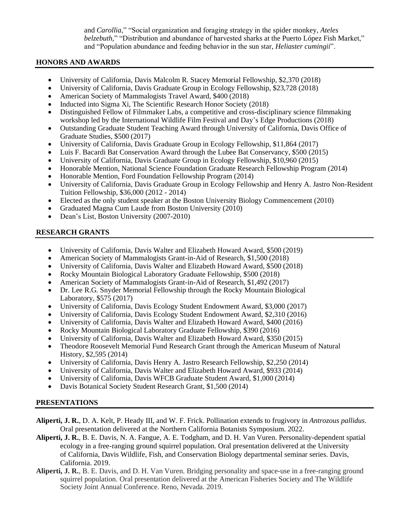and *Carollia*," "Social organization and foraging strategy in the spider monkey, *Ateles belzebuth,*" "Distribution and abundance of harvested sharks at the Puerto López Fish Market," and "Population abundance and feeding behavior in the sun star, *Heliaster cumingii*".

#### **HONORS AND AWARDS**

- University of California, Davis Malcolm R. Stacey Memorial Fellowship, \$2,370 (2018)
- University of California, Davis Graduate Group in Ecology Fellowship, \$23,728 (2018)
- American Society of Mammalogists Travel Award, \$400 (2018)
- Inducted into Sigma Xi, The Scientific Research Honor Society (2018)
- Distinguished Fellow of Filmmaker Labs, a competitive and cross-disciplinary science filmmaking workshop led by the International Wildlife Film Festival and Day's Edge Productions (2018)
- Outstanding Graduate Student Teaching Award through University of California, Davis Office of Graduate Studies, \$500 (2017)
- University of California, Davis Graduate Group in Ecology Fellowship, \$11,864 (2017)
- Luis F. Bacardi Bat Conservation Award through the Lubee Bat Conservancy, \$500 (2015)
- University of California, Davis Graduate Group in Ecology Fellowship, \$10,960 (2015)
- Honorable Mention, National Science Foundation Graduate Research Fellowship Program (2014)
- Honorable Mention, Ford Foundation Fellowship Program (2014)
- University of California, Davis Graduate Group in Ecology Fellowship and Henry A. Jastro Non-Resident Tuition Fellowship, \$36,000 (2012 - 2014)
- Elected as the only student speaker at the Boston University Biology Commencement (2010)
- Graduated Magna Cum Laude from Boston University (2010)
- Dean's List, Boston University (2007-2010)

# **RESEARCH GRANTS**

- University of California, Davis Walter and Elizabeth Howard Award, \$500 (2019)
- American Society of Mammalogists Grant-in-Aid of Research, \$1,500 (2018)
- University of California, Davis Walter and Elizabeth Howard Award, \$500 (2018)
- Rocky Mountain Biological Laboratory Graduate Fellowship, \$500 (2018)
- American Society of Mammalogists Grant-in-Aid of Research, \$1,492 (2017)
- Dr. Lee R.G. Snyder Memorial Fellowship through the Rocky Mountain Biological Laboratory, \$575 (2017)
- University of California, Davis Ecology Student Endowment Award, \$3,000 (2017)
- University of California, Davis Ecology Student Endowment Award, \$2,310 (2016)
- University of California, Davis Walter and Elizabeth Howard Award, \$400 (2016)
- Rocky Mountain Biological Laboratory Graduate Fellowship, \$390 (2016)
- University of California, Davis Walter and Elizabeth Howard Award, \$350 (2015)
- Theodore Roosevelt Memorial Fund Research Grant through the American Museum of Natural History, \$2,595 (2014)
- University of California, Davis Henry A. Jastro Research Fellowship, \$2,250 (2014)
- University of California, Davis Walter and Elizabeth Howard Award, \$933 (2014)
- University of California, Davis WFCB Graduate Student Award, \$1,000 (2014)
- Davis Botanical Society Student Research Grant, \$1,500 (2014)

# **PRESENTATIONS**

- **Aliperti, J. R.**, D. A. Kelt, P. Heady III, and W. F. Frick. Pollination extends to frugivory in *Antrozous pallidus*. Oral presentation delivered at the Northern California Botanists Symposium. 2022.
- **Aliperti, J. R.**, B. E. Davis, N. A. Fangue, A. E. Todgham, and D. H. Van Vuren. Personality-dependent spatial ecology in a free-ranging ground squirrel population. Oral presentation delivered at the University of California, Davis Wildlife, Fish, and Conservation Biology departmental seminar series. Davis, California. 2019.
- **Aliperti, J. R.**, B. E. Davis, and D. H. Van Vuren. Bridging personality and space-use in a free-ranging ground squirrel population. Oral presentation delivered at the American Fisheries Society and The Wildlife Society Joint Annual Conference. Reno, Nevada. 2019.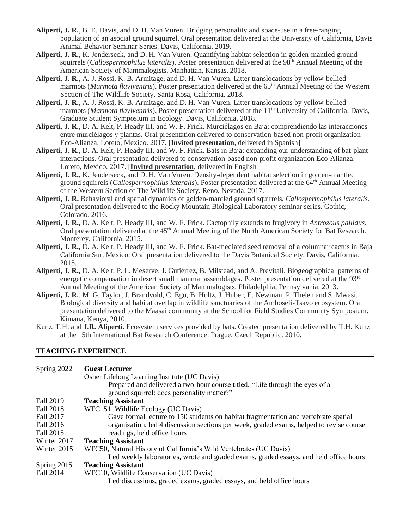- **Aliperti, J. R.**, B. E. Davis, and D. H. Van Vuren. Bridging personality and space-use in a free-ranging population of an asocial ground squirrel. Oral presentation delivered at the University of California, Davis Animal Behavior Seminar Series. Davis, California. 2019.
- **Aliperti, J. R.**, K. Jenderseck, and D. H. Van Vuren. Quantifying habitat selection in golden-mantled ground squirrels (*Callospermophilus lateralis*). Poster presentation delivered at the 98<sup>th</sup> Annual Meeting of the American Society of Mammalogists. Manhattan, Kansas. 2018.
- **Aliperti, J. R.**, A. J. Rossi, K. B. Armitage, and D. H. Van Vuren. Litter translocations by yellow-bellied marmots (*Marmota flaviventris*). Poster presentation delivered at the 65th Annual Meeting of the Western Section of The Wildlife Society. Santa Rosa, California. 2018.
- **Aliperti, J. R.**, A. J. Rossi, K. B. Armitage, and D. H. Van Vuren. Litter translocations by yellow-bellied marmots (*Marmota flaviventris*). Poster presentation delivered at the 11<sup>th</sup> University of California, Davis, Graduate Student Symposium in Ecology. Davis, California. 2018.
- **Aliperti, J. R.**, D. A. Kelt, P. Heady III, and W. F. Frick. Murciélagos en Baja: comprendiendo las interacciones entre murciélagos y plantas. Oral presentation delivered to conservation-based non-profit organization Eco-Alianza. Loreto, Mexico. 2017. [**Invited presentation**, delivered in Spanish]
- **Aliperti, J. R.**, D. A. Kelt, P. Heady III, and W. F. Frick. Bats in Baja: expanding our understanding of bat-plant interactions. Oral presentation delivered to conservation-based non-profit organization Eco-Alianza. Loreto, Mexico. 2017. [**Invited presentation**, delivered in English]
- **Aliperti, J. R.**, K. Jenderseck, and D. H. Van Vuren. Density-dependent habitat selection in golden-mantled ground squirrels (*Callospermophilus lateralis*). Poster presentation delivered at the 64th Annual Meeting of the Western Section of The Wildlife Society. Reno, Nevada. 2017.
- **Aliperti, J. R.** Behavioral and spatial dynamics of golden-mantled ground squirrels, *Callospermophilus lateralis.* Oral presentation delivered to the Rocky Mountain Biological Laboratory seminar series. Gothic, Colorado. 2016.
- **Aliperti, J. R.,** D. A. Kelt, P. Heady III, and W. F. Frick. Cactophily extends to frugivory in *Antrozous pallidus*. Oral presentation delivered at the 45<sup>th</sup> Annual Meeting of the North American Society for Bat Research. Monterey, California. 2015.
- **Aliperti, J. R.,** D. A. Kelt, P. Heady III, and W. F. Frick. Bat-mediated seed removal of a columnar cactus in Baja California Sur, Mexico. Oral presentation delivered to the Davis Botanical Society. Davis, California. 2015.
- **Aliperti, J. R.,** D. A. Kelt, P. L. Meserve, J. Gutiérrez, B. Milstead, and A. Previtali. Biogeographical patterns of energetic compensation in desert small mammal assemblages. Poster presentation delivered at the  $93<sup>rd</sup>$ Annual Meeting of the American Society of Mammalogists. Philadelphia, Pennsylvania. 2013.
- **Aliperti, J. R.**, M. G. Taylor, J. Brandvold, C. Ego, B. Holtz, J. Huber, E. Newman, P. Thelen and S. Mwasi. Biological diversity and habitat overlap in wildlife sanctuaries of the Amboseli-Tsavo ecosystem. Oral presentation delivered to the Maasai community at the School for Field Studies Community Symposium. Kimana, Kenya, 2010.
- Kunz, T.H. and **J.R. Aliperti.** Ecosystem services provided by bats. Created presentation delivered by T.H. Kunz at the 15th International Bat Research Conference. Prague, Czech Republic. 2010.

#### **TEACHING EXPERIENCE**

| Spring 2022   | <b>Guest Lecturer</b>                                                                   |
|---------------|-----------------------------------------------------------------------------------------|
|               | Osher Lifelong Learning Institute (UC Davis)                                            |
|               | Prepared and delivered a two-hour course titled, "Life through the eyes of a            |
|               | ground squirrel: does personality matter?"                                              |
| Fall 2019     | <b>Teaching Assistant</b>                                                               |
| Fall 2018     | WFC151, Wildlife Ecology (UC Davis)                                                     |
| Fall 2017     | Gave formal lecture to 150 students on habitat fragmentation and vertebrate spatial     |
| Fall 2016     | organization, led 4 discussion sections per week, graded exams, helped to revise course |
| Fall 2015     | readings, held office hours                                                             |
| Winter 2017   | <b>Teaching Assistant</b>                                                               |
| Winter 2015   | WFC50, Natural History of California's Wild Vertebrates (UC Davis)                      |
|               | Led weekly laboratories, wrote and graded exams, graded essays, and held office hours   |
| Spring $2015$ | <b>Teaching Assistant</b>                                                               |
| Fall 2014     | WFC10, Wildlife Conservation (UC Davis)                                                 |
|               | Led discussions, graded exams, graded essays, and held office hours                     |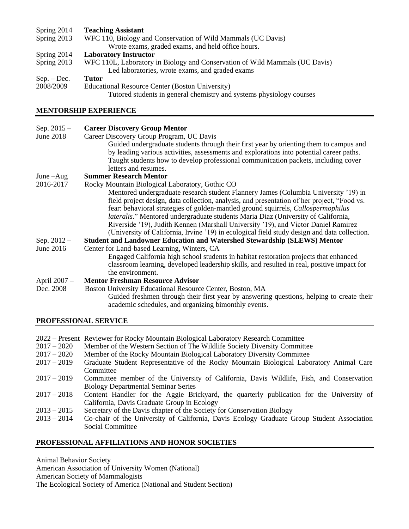# Spring 2014 **Teaching Assistant**<br>Spring 2013 **WFC** 110, Biology a

- WFC 110, Biology and Conservation of Wild Mammals (UC Davis) Wrote exams, graded exams, and held office hours.
- Spring 2014 **Laboratory Instructor**<br>Spring 2013 WFC 110L, Laboratory
- WFC 110L, Laboratory in Biology and Conservation of Wild Mammals (UC Davis) Led laboratories, wrote exams, and graded exams
- Sep. Dec. **Tutor** 2008/2009 Educational Resource Center (Boston University) Tutored students in general chemistry and systems physiology courses

# **MENTORSHIP EXPERIENCE**

| Sep. $2015 -$ | <b>Career Discovery Group Mentor</b>                                                         |
|---------------|----------------------------------------------------------------------------------------------|
| June 2018     | Career Discovery Group Program, UC Davis                                                     |
|               | Guided undergraduate students through their first year by orienting them to campus and       |
|               | by leading various activities, assessments and explorations into potential career paths.     |
|               | Taught students how to develop professional communication packets, including cover           |
|               | letters and resumes.                                                                         |
| June $-Aug$   | <b>Summer Research Mentor</b>                                                                |
| 2016-2017     | Rocky Mountain Biological Laboratory, Gothic CO                                              |
|               | Mentored undergraduate research student Flannery James (Columbia University '19) in          |
|               | field project design, data collection, analysis, and presentation of her project, "Food vs.  |
|               | fear: behavioral strategies of golden-mantled ground squirrels, Callospermophilus            |
|               | <i>lateralis.</i> " Mentored undergraduate students Maria Diaz (University of California,    |
|               | Riverside '19), Judith Kennen (Marshall University '19), and Victor Daniel Ramirez           |
|               | (University of California, Irvine '19) in ecological field study design and data collection. |
| Sep. $2012 -$ | <b>Student and Landowner Education and Watershed Stewardship (SLEWS) Mentor</b>              |
| June 2016     | Center for Land-based Learning, Winters, CA                                                  |
|               | Engaged California high school students in habitat restoration projects that enhanced        |
|               | classroom learning, developed leadership skills, and resulted in real, positive impact for   |
|               | the environment.                                                                             |
| April 2007 -  | <b>Mentor Freshman Resource Advisor</b>                                                      |
| Dec. 2008     | Boston University Educational Resource Center, Boston, MA                                    |
|               | Guided freshmen through their first year by answering questions, helping to create their     |
|               | academic schedules, and organizing bimonthly events.                                         |
|               |                                                                                              |

#### **PROFESSIONAL SERVICE**

- 2022 Present Reviewer for Rocky Mountain Biological Laboratory Research Committee
- 2017 2020 Member of the Western Section of The Wildlife Society Diversity Committee
- 2017 2020 Member of the Rocky Mountain Biological Laboratory Diversity Committee
- 2017 2019 Graduate Student Representative of the Rocky Mountain Biological Laboratory Animal Care **Committee**
- 2017 2019 Committee member of the University of California, Davis Wildlife, Fish, and Conservation Biology Departmental Seminar Series
- 2017 2018 Content Handler for the Aggie Brickyard, the quarterly publication for the University of California, Davis Graduate Group in Ecology
- 2013 2015 Secretary of the Davis chapter of the Society for Conservation Biology
- 2013 2014 Co-chair of the University of California, Davis Ecology Graduate Group Student Association Social Committee

# **PROFESSIONAL AFFILIATIONS AND HONOR SOCIETIES**

Animal Behavior Society American Association of University Women (National) American Society of Mammalogists The Ecological Society of America (National and Student Section)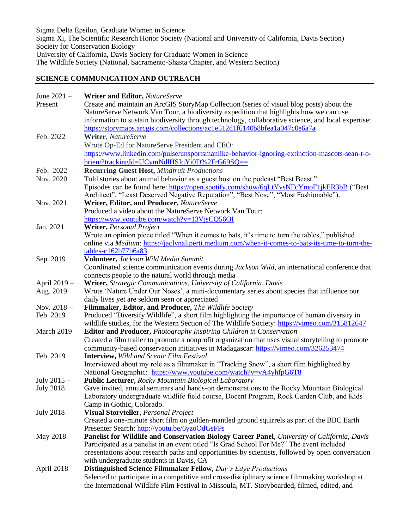Sigma Delta Epsilon, Graduate Women in Science Sigma Xi, The Scientific Research Honor Society (National and University of California, Davis Section) Society for Conservation Biology University of California, Davis Society for Graduate Women in Science The Wildlife Society (National, Sacramento-Shasta Chapter, and Western Section)

#### **SCIENCE COMMUNICATION AND OUTREACH**

| June 2021 -      | <b>Writer and Editor, NatureServe</b>                                                                                                                |
|------------------|------------------------------------------------------------------------------------------------------------------------------------------------------|
| Present          | Create and maintain an ArcGIS StoryMap Collection (series of visual blog posts) about the                                                            |
|                  | NatureServe Network Van Tour, a biodiversity expedition that highlights how we can use                                                               |
|                  | information to sustain biodiversity through technology, collaborative science, and local expertise:                                                  |
|                  | https://storymaps.arcgis.com/collections/ac1e512d1f6140b8bfea1a047c0e6a7a                                                                            |
| Feb. 2022        | Writer, NatureServe                                                                                                                                  |
|                  | Wrote Op-Ed for NatureServe President and CEO:                                                                                                       |
|                  | https://www.linkedin.com/pulse/unsportsmanlike-behavior-ignoring-extinction-mascots-sean-t-o-                                                        |
|                  | brien/?trackingId=UCymNdlHSIqYi0D%2FrG69SQ==                                                                                                         |
| Feb. $2022 -$    | <b>Recurring Guest Host, Mindfruit Productions</b>                                                                                                   |
| Nov. 2020        |                                                                                                                                                      |
|                  | Told stories about animal behavior as a guest host on the podcast "Best Beast."                                                                      |
|                  | Episodes can be found here: https://open.spotify.com/show/6qLtYvsNFcYmoF1jkER3bB ("Best                                                              |
|                  | Architect", "Least Deserved Negative Reputation", "Best Nose", "Most Fashionable").                                                                  |
| Nov. 2021        | Writer, Editor, and Producer, NatureServe<br>Produced a video about the NatureServe Network Van Tour:                                                |
|                  |                                                                                                                                                      |
|                  | https://www.youtube.com/watch?v=13VjsCQ56OI                                                                                                          |
| Jan. 2021        | Writer, Personal Project                                                                                                                             |
|                  | Wrote an opinion piece titled "When it comes to bats, it's time to turn the tables," published                                                       |
|                  | online via <i>Medium</i> : https://jaclynaliperti.medium.com/when-it-comes-to-bats-its-time-to-turn-the-                                             |
|                  | tables-c162b77b6a83<br>Volunteer, Jackson Wild Media Summit                                                                                          |
| Sep. 2019        |                                                                                                                                                      |
|                  | Coordinated science communication events during Jackson Wild, an international conference that<br>connects people to the natural world through media |
| April 2019 -     | Writer, Strategic Communications, University of California, Davis                                                                                    |
| Aug. 2019        | Wrote 'Nature Under Our Noses', a mini-documentary series about species that influence our                                                           |
|                  | daily lives yet are seldom seen or appreciated                                                                                                       |
| Nov. $2018 -$    | Filmmaker, Editor, and Producer, The Wildlife Society                                                                                                |
| Feb. 2019        | Produced "Diversify Wildlife", a short film highlighting the importance of human diversity in                                                        |
|                  | wildlife studies, for the Western Section of The Wildlife Society: https://vimeo.com/315812647                                                       |
| March 2019       | <b>Editor and Producer, Photography Inspiring Children in Conservation</b>                                                                           |
|                  | Created a film trailer to promote a nonprofit organization that uses visual storytelling to promote                                                  |
|                  | community-based conservation initiatives in Madagascar: https://vimeo.com/326253474                                                                  |
| Feb. 2019        | Interview, Wild and Scenic Film Festival                                                                                                             |
|                  | Interviewed about my role as a filmmaker in "Tracking Snow", a short film highlighted by                                                             |
|                  | National Geographic: https://www.youtube.com/watch?v=vA4yhfpG6T8                                                                                     |
| July $2015 -$    | <b>Public Lecturer, Rocky Mountain Biological Laboratory</b>                                                                                         |
| <b>July 2018</b> | Gave invited, annual seminars and hands-on demonstrations to the Rocky Mountain Biological                                                           |
|                  | Laboratory undergraduate wildlife field course, Docent Program, Rock Garden Club, and Kids'                                                          |
|                  | Camp in Gothic, Colorado.                                                                                                                            |
| <b>July 2018</b> | Visual Storyteller, Personal Project                                                                                                                 |
|                  | Created a one-minute short film on golden-mantled ground squirrels as part of the BBC Earth                                                          |
|                  | Presenter Search: http://youtu.be/6yzoOdGsFPs                                                                                                        |
| May 2018         | Panelist for Wildlife and Conservation Biology Career Panel, University of California, Davis                                                         |
|                  | Participated as a panelist in an event titled "Is Grad School For Me?" The event included                                                            |
|                  | presentations about research paths and opportunities by scientists, followed by open conversation                                                    |
|                  | with undergraduate students in Davis, CA                                                                                                             |
| April 2018       | <b>Distinguished Science Filmmaker Fellow, Day's Edge Productions</b>                                                                                |
|                  | Selected to participate in a competitive and cross-disciplinary science filmmaking workshop at                                                       |
|                  | the International Wildlife Film Festival in Missoula, MT. Storyboarded, filmed, edited, and                                                          |